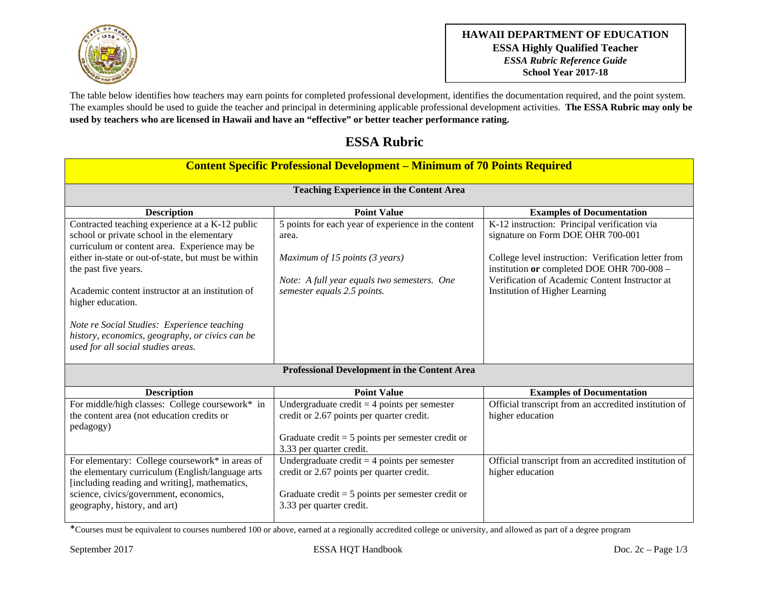

The table below identifies how teachers may earn points for completed professional development, identifies the documentation required, and the point system. The examples should be used to guide the teacher and principal in determining applicable professional development activities. **The ESSA Rubric may only be used by teachers who are licensed in Hawaii and have an "effective" or better teacher performance rating.** 

## **ESSA Rubric**

| <b>Content Specific Professional Development – Minimum of 70 Points Required</b>                                                                                                                                                                                                                                                                                                                                                               |                                                                                                                                                                                |                                                                                                                                                                                                                                                                            |  |  |
|------------------------------------------------------------------------------------------------------------------------------------------------------------------------------------------------------------------------------------------------------------------------------------------------------------------------------------------------------------------------------------------------------------------------------------------------|--------------------------------------------------------------------------------------------------------------------------------------------------------------------------------|----------------------------------------------------------------------------------------------------------------------------------------------------------------------------------------------------------------------------------------------------------------------------|--|--|
| <b>Teaching Experience in the Content Area</b>                                                                                                                                                                                                                                                                                                                                                                                                 |                                                                                                                                                                                |                                                                                                                                                                                                                                                                            |  |  |
| <b>Description</b>                                                                                                                                                                                                                                                                                                                                                                                                                             | <b>Point Value</b>                                                                                                                                                             | <b>Examples of Documentation</b>                                                                                                                                                                                                                                           |  |  |
| Contracted teaching experience at a K-12 public<br>school or private school in the elementary<br>curriculum or content area. Experience may be<br>either in-state or out-of-state, but must be within<br>the past five years.<br>Academic content instructor at an institution of<br>higher education.<br>Note re Social Studies: Experience teaching<br>history, economics, geography, or civics can be<br>used for all social studies areas. | 5 points for each year of experience in the content<br>area.<br>Maximum of 15 points (3 years)<br>Note: A full year equals two semesters. One<br>semester equals 2.5 points.   | K-12 instruction: Principal verification via<br>signature on Form DOE OHR 700-001<br>College level instruction: Verification letter from<br>institution or completed DOE OHR 700-008 -<br>Verification of Academic Content Instructor at<br>Institution of Higher Learning |  |  |
| <b>Professional Development in the Content Area</b>                                                                                                                                                                                                                                                                                                                                                                                            |                                                                                                                                                                                |                                                                                                                                                                                                                                                                            |  |  |
| <b>Description</b>                                                                                                                                                                                                                                                                                                                                                                                                                             | <b>Point Value</b>                                                                                                                                                             | <b>Examples of Documentation</b>                                                                                                                                                                                                                                           |  |  |
| For middle/high classes: College coursework* in<br>the content area (not education credits or<br>pedagogy)                                                                                                                                                                                                                                                                                                                                     | Undergraduate credit = $4$ points per semester<br>credit or 2.67 points per quarter credit.<br>Graduate credit $= 5$ points per semester credit or<br>3.33 per quarter credit. | Official transcript from an accredited institution of<br>higher education                                                                                                                                                                                                  |  |  |
| For elementary: College coursework* in areas of<br>the elementary curriculum (English/language arts<br>[including reading and writing], mathematics,<br>science, civics/government, economics,<br>geography, history, and art)                                                                                                                                                                                                                 | Undergraduate credit $=$ 4 points per semester<br>credit or 2.67 points per quarter credit.<br>Graduate credit $= 5$ points per semester credit or<br>3.33 per quarter credit. | Official transcript from an accredited institution of<br>higher education                                                                                                                                                                                                  |  |  |

\*Courses must be equivalent to courses numbered 100 or above, earned at a regionally accredited college or university, and allowed as part of a degree program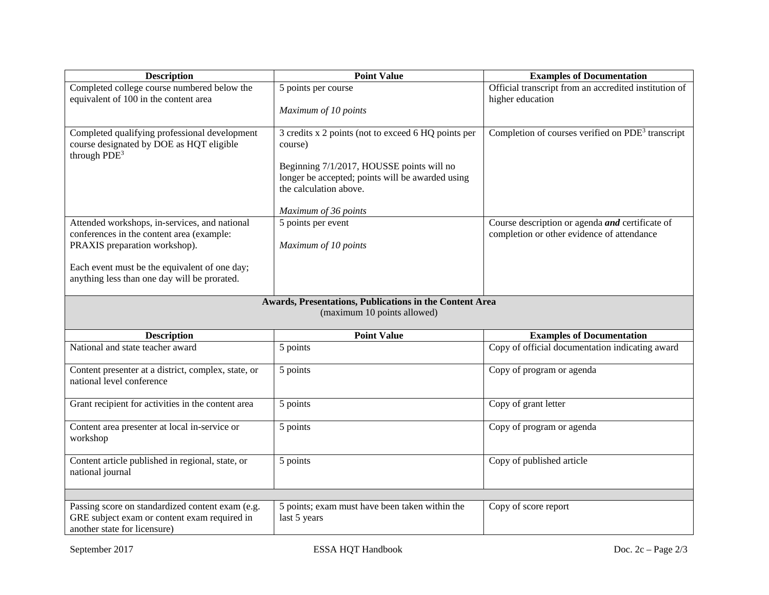| <b>Description</b>                                                                                                                                                                                                           | <b>Point Value</b>                                                                                                                                                                                                | <b>Examples of Documentation</b>                                                              |  |  |
|------------------------------------------------------------------------------------------------------------------------------------------------------------------------------------------------------------------------------|-------------------------------------------------------------------------------------------------------------------------------------------------------------------------------------------------------------------|-----------------------------------------------------------------------------------------------|--|--|
| Completed college course numbered below the<br>equivalent of 100 in the content area                                                                                                                                         | 5 points per course<br>Maximum of 10 points                                                                                                                                                                       | Official transcript from an accredited institution of<br>higher education                     |  |  |
| Completed qualifying professional development<br>course designated by DOE as HQT eligible<br>through $PDE3$                                                                                                                  | 3 credits x 2 points (not to exceed 6 HQ points per<br>course)<br>Beginning 7/1/2017, HOUSSE points will no<br>longer be accepted; points will be awarded using<br>the calculation above.<br>Maximum of 36 points | Completion of courses verified on PDE <sup>3</sup> transcript                                 |  |  |
| Attended workshops, in-services, and national<br>conferences in the content area (example:<br>PRAXIS preparation workshop).<br>Each event must be the equivalent of one day;<br>anything less than one day will be prorated. | 5 points per event<br>Maximum of 10 points                                                                                                                                                                        | Course description or agenda and certificate of<br>completion or other evidence of attendance |  |  |
| Awards, Presentations, Publications in the Content Area<br>(maximum 10 points allowed)                                                                                                                                       |                                                                                                                                                                                                                   |                                                                                               |  |  |
| <b>Description</b>                                                                                                                                                                                                           | <b>Point Value</b>                                                                                                                                                                                                | <b>Examples of Documentation</b>                                                              |  |  |
| National and state teacher award                                                                                                                                                                                             | 5 points                                                                                                                                                                                                          | Copy of official documentation indicating award                                               |  |  |
| Content presenter at a district, complex, state, or<br>national level conference                                                                                                                                             | 5 points                                                                                                                                                                                                          | Copy of program or agenda                                                                     |  |  |
| Grant recipient for activities in the content area                                                                                                                                                                           | 5 points                                                                                                                                                                                                          | Copy of grant letter                                                                          |  |  |
| Content area presenter at local in-service or<br>workshop                                                                                                                                                                    | 5 points                                                                                                                                                                                                          | Copy of program or agenda                                                                     |  |  |
| Content article published in regional, state, or<br>national journal                                                                                                                                                         | 5 points                                                                                                                                                                                                          | Copy of published article                                                                     |  |  |
| Passing score on standardized content exam (e.g.<br>GRE subject exam or content exam required in<br>another state for licensure)                                                                                             | 5 points; exam must have been taken within the<br>last 5 years                                                                                                                                                    | Copy of score report                                                                          |  |  |